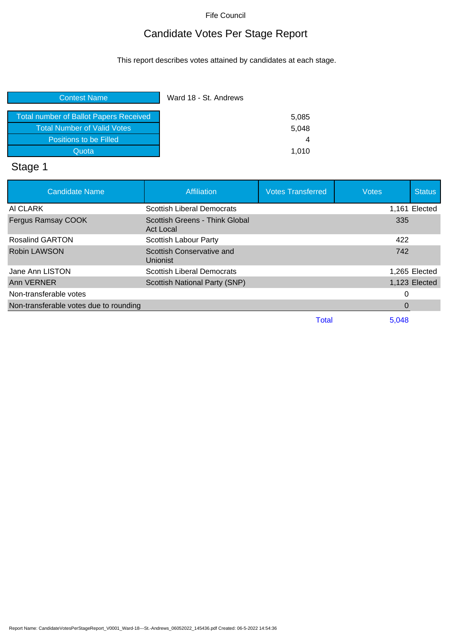## Candidate Votes Per Stage Report

This report describes votes attained by candidates at each stage.

| <b>Contest Name</b>                           | Ward 18 - St. Andrews |
|-----------------------------------------------|-----------------------|
| <b>Total number of Ballot Papers Received</b> | 5,085                 |
| <b>Total Number of Valid Votes</b>            | 5.048                 |
| Positions to be Filled                        | 4                     |
| Quota                                         | 1.010                 |

# Stage 1

| <b>Candidate Name</b>                  | <b>Affiliation</b>                          | <b>Votes Transferred</b> | <b>Votes</b> | <b>Status</b> |
|----------------------------------------|---------------------------------------------|--------------------------|--------------|---------------|
| AI CLARK                               | <b>Scottish Liberal Democrats</b>           |                          |              | 1.161 Elected |
| Fergus Ramsay COOK                     | Scottish Greens - Think Global<br>Act Local |                          | 335          |               |
| <b>Rosalind GARTON</b>                 | <b>Scottish Labour Party</b>                |                          | 422          |               |
| <b>Robin LAWSON</b>                    | Scottish Conservative and<br>Unionist       |                          | 742          |               |
| Jane Ann LISTON                        | <b>Scottish Liberal Democrats</b>           |                          |              | 1,265 Elected |
| Ann VERNER                             | <b>Scottish National Party (SNP)</b>        |                          |              | 1,123 Elected |
| Non-transferable votes                 |                                             |                          |              |               |
| Non-transferable votes due to rounding |                                             |                          | 0            |               |
|                                        |                                             | Total                    | 5.048        |               |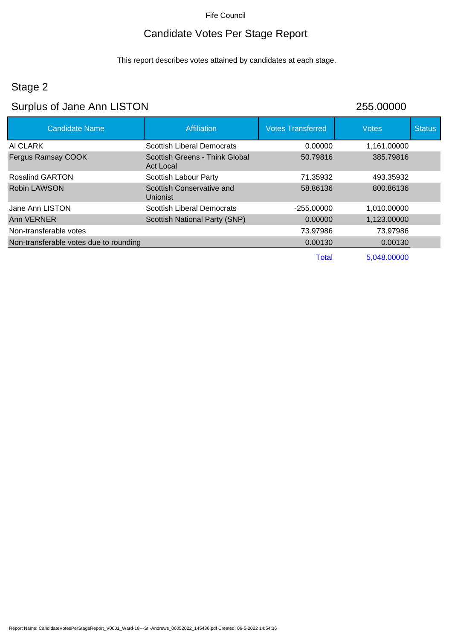## Candidate Votes Per Stage Report

This report describes votes attained by candidates at each stage.

## Stage 2

## Surplus of Jane Ann LISTON 255.00000

| <b>Candidate Name</b>                  | <b>Affiliation</b>                                 | <b>Votes Transferred</b> | <b>Votes</b> | <b>Status</b> |
|----------------------------------------|----------------------------------------------------|--------------------------|--------------|---------------|
| AI CLARK                               | <b>Scottish Liberal Democrats</b>                  | 0.00000                  | 1,161.00000  |               |
| Fergus Ramsay COOK                     | Scottish Greens - Think Global<br><b>Act Local</b> | 50.79816                 | 385.79816    |               |
| Rosalind GARTON                        | Scottish Labour Party                              | 71.35932                 | 493.35932    |               |
| Robin LAWSON                           | Scottish Conservative and<br><b>Unionist</b>       | 58.86136                 | 800.86136    |               |
| Jane Ann LISTON                        | Scottish Liberal Democrats                         | $-255.00000$             | 1,010.00000  |               |
| Ann VERNER                             | <b>Scottish National Party (SNP)</b>               | 0.00000                  | 1,123.00000  |               |
| Non-transferable votes                 |                                                    | 73.97986                 | 73.97986     |               |
| Non-transferable votes due to rounding |                                                    | 0.00130                  | 0.00130      |               |
|                                        |                                                    | <b>Total</b>             | 5,048.00000  |               |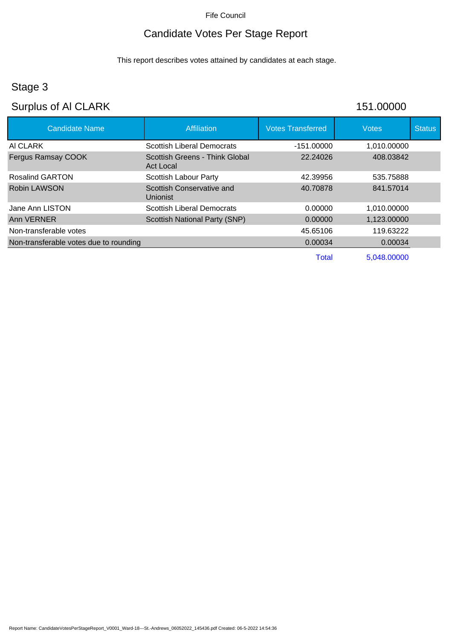## Candidate Votes Per Stage Report

This report describes votes attained by candidates at each stage.

## Stage 3

## Surplus of Al CLARK 151.00000

| <b>Candidate Name</b>                  | <b>Affiliation</b>                          | <b>Votes Transferred</b> | <b>Votes</b> | <b>Status</b> |
|----------------------------------------|---------------------------------------------|--------------------------|--------------|---------------|
| AI CLARK                               | <b>Scottish Liberal Democrats</b>           | $-151.00000$             | 1,010.00000  |               |
| <b>Fergus Ramsay COOK</b>              | Scottish Greens - Think Global<br>Act Local | 22.24026                 | 408.03842    |               |
| <b>Rosalind GARTON</b>                 | Scottish Labour Party                       | 42.39956                 | 535.75888    |               |
| Robin LAWSON                           | Scottish Conservative and<br>Unionist       | 40.70878                 | 841.57014    |               |
| Jane Ann LISTON                        | <b>Scottish Liberal Democrats</b>           | 0.00000                  | 1,010.00000  |               |
| Ann VERNER                             | Scottish National Party (SNP)               | 0.00000                  | 1,123.00000  |               |
| Non-transferable votes                 |                                             | 45.65106                 | 119.63222    |               |
| Non-transferable votes due to rounding |                                             | 0.00034                  | 0.00034      |               |
|                                        |                                             | <b>Total</b>             | 5,048.00000  |               |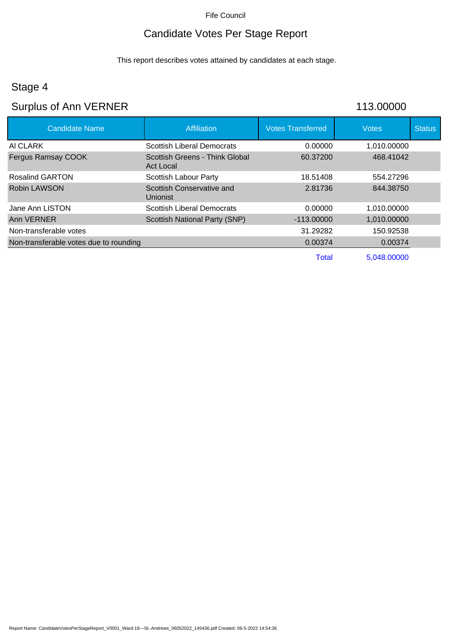## Candidate Votes Per Stage Report

This report describes votes attained by candidates at each stage.

## Stage 4

# Surplus of Ann VERNER 113.00000

| <b>Candidate Name</b>                  | <b>Affiliation</b>                          | <b>Votes Transferred</b> | <b>Votes</b> | <b>Status</b> |
|----------------------------------------|---------------------------------------------|--------------------------|--------------|---------------|
| AI CLARK                               | <b>Scottish Liberal Democrats</b>           | 0.00000                  | 1,010.00000  |               |
| Fergus Ramsay COOK                     | Scottish Greens - Think Global<br>Act Local | 60.37200                 | 468.41042    |               |
| <b>Rosalind GARTON</b>                 | <b>Scottish Labour Party</b>                | 18.51408                 | 554.27296    |               |
| Robin LAWSON                           | Scottish Conservative and<br>Unionist       | 2.81736                  | 844.38750    |               |
| Jane Ann LISTON                        | <b>Scottish Liberal Democrats</b>           | 0.00000                  | 1,010.00000  |               |
| Ann VERNER                             | <b>Scottish National Party (SNP)</b>        | $-113,00000$             | 1,010.00000  |               |
| Non-transferable votes                 |                                             | 31.29282                 | 150.92538    |               |
| Non-transferable votes due to rounding |                                             | 0.00374                  | 0.00374      |               |
|                                        |                                             | Total                    | 5,048.00000  |               |

Report Name: CandidateVotesPerStageReport\_V0001\_Ward-18---St.-Andrews\_06052022\_145436.pdf Created: 06-5-2022 14:54:36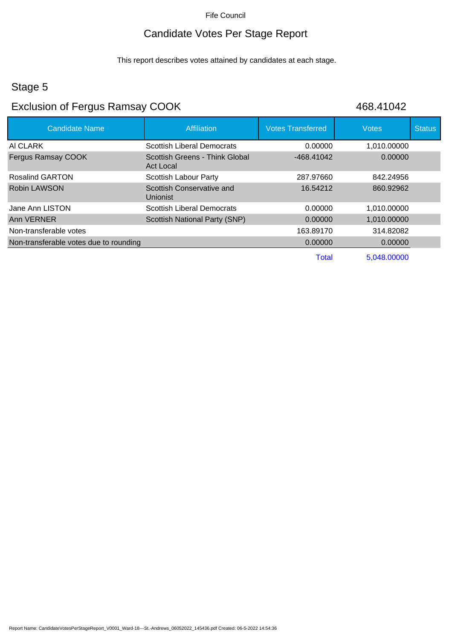#### Candidate Votes Per Stage Report

This report describes votes attained by candidates at each stage.

#### Stage 5

## Exclusion of Fergus Ramsay COOK 468.41042

| <b>Candidate Name</b>                  | <b>Affiliation</b>                                 | <b>Votes Transferred</b> | <b>Votes</b> | <b>Status</b> |
|----------------------------------------|----------------------------------------------------|--------------------------|--------------|---------------|
| AI CLARK                               | <b>Scottish Liberal Democrats</b>                  | 0.00000                  | 1,010.00000  |               |
| <b>Fergus Ramsay COOK</b>              | Scottish Greens - Think Global<br><b>Act Local</b> | -468.41042               | 0.00000      |               |
| Rosalind GARTON                        | <b>Scottish Labour Party</b>                       | 287.97660                | 842.24956    |               |
| Robin LAWSON                           | Scottish Conservative and<br>Unionist              | 16.54212                 | 860,92962    |               |
| Jane Ann LISTON                        | <b>Scottish Liberal Democrats</b>                  | 0.00000                  | 1,010.00000  |               |
| Ann VERNER                             | Scottish National Party (SNP)                      | 0.00000                  | 1,010.00000  |               |
| Non-transferable votes                 |                                                    | 163.89170                | 314.82082    |               |
| Non-transferable votes due to rounding |                                                    | 0.00000                  | 0.00000      |               |
|                                        |                                                    | <b>Total</b>             | 5,048.00000  |               |

Report Name: CandidateVotesPerStageReport\_V0001\_Ward-18---St.-Andrews\_06052022\_145436.pdf Created: 06-5-2022 14:54:36